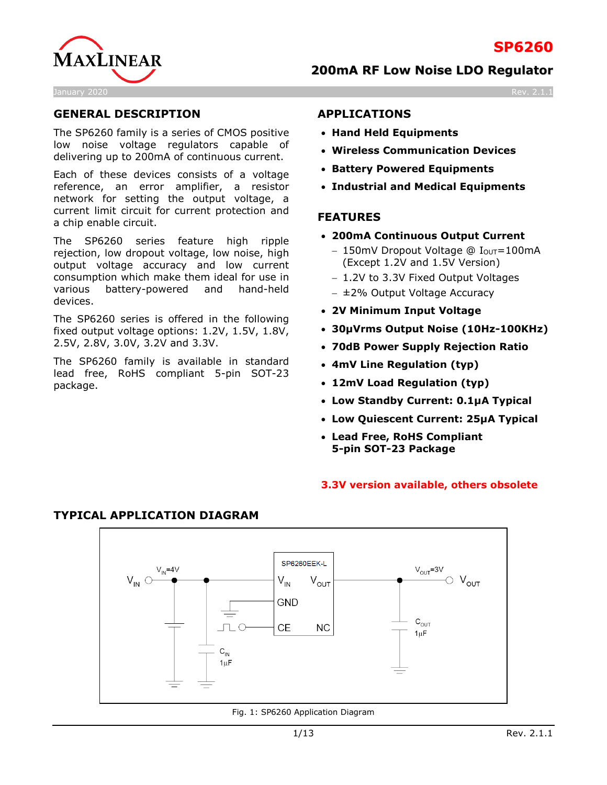



## **GENERAL DESCRIPTION**

The SP6260 family is a series of CMOS positive low noise voltage regulators capable of delivering up to 200mA of continuous current.

Each of these devices consists of a voltage reference, an error amplifier, a resistor network for setting the output voltage, a current limit circuit for current protection and a chip enable circuit.

The SP6260 series feature high ripple rejection, low dropout voltage, low noise, high output voltage accuracy and low current consumption which make them ideal for use in various battery-powered and hand-held devices.

The SP6260 series is offered in the following fixed output voltage options: 1.2V, 1.5V, 1.8V, 2.5V, 2.8V, 3.0V, 3.2V and 3.3V.

The SP6260 family is available in standard lead free, RoHS compliant 5-pin SOT-23 package.

#### **APPLICATIONS**

- **Hand Held Equipments**
- **Wireless Communication Devices**
- **Battery Powered Equipments**
- **Industrial and Medical Equipments**

#### **FEATURES**

- **200mA Continuous Output Current** 
	- − 150mV Dropout Voltage @ IOUT=100mA (Except 1.2V and 1.5V Version)
	- − 1.2V to 3.3V Fixed Output Voltages
	- − ±2% Output Voltage Accuracy
- **2V Minimum Input Voltage**
- **30µVrms Output Noise (10Hz-100KHz)**
- **70dB Power Supply Rejection Ratio**
- **4mV Line Regulation (typ)**
- **12mV Load Regulation (typ)**
- **Low Standby Current: 0.1µA Typical**
- **Low Quiescent Current: 25µA Typical**
- **Lead Free, RoHS Compliant 5-pin SOT-23 Package**

#### **3.3V version available, others obsolete**



Fig. 1: SP6260 Application Diagram

### **TYPICAL APPLICATION DIAGRAM**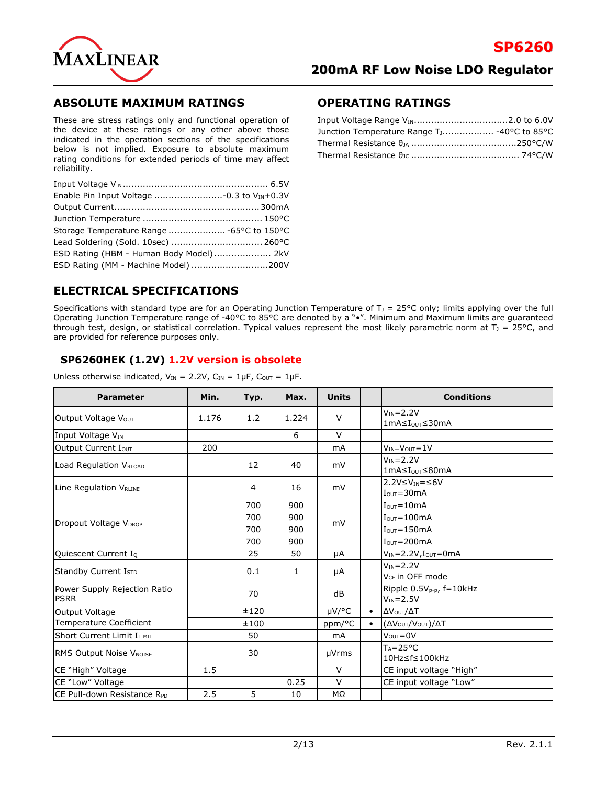

### **ABSOLUTE MAXIMUM RATINGS**

These are stress ratings only and functional operation of the device at these ratings or any other above those indicated in the operation sections of the specifications below is not implied. Exposure to absolute maximum rating conditions for extended periods of time may affect reliability.

| Lead Soldering (Sold. 10sec)  260°C     |  |
|-----------------------------------------|--|
| ESD Rating (HBM - Human Body Model) 2kV |  |
| ESD Rating (MM - Machine Model) 200V    |  |
|                                         |  |

#### **OPERATING RATINGS**

| Junction Temperature Range T <sub>1</sub> -40°C to 85°C |  |
|---------------------------------------------------------|--|
|                                                         |  |
|                                                         |  |

### **ELECTRICAL SPECIFICATIONS**

Specifications with standard type are for an Operating Junction Temperature of  $T_1 = 25^{\circ}C$  only; limits applying over the full Operating Junction Temperature range of -40°C to 85°C are denoted by a "•". Minimum and Maximum limits are guaranteed through test, design, or statistical correlation. Typical values represent the most likely parametric norm at  $T_1 = 25^{\circ}C$ , and are provided for reference purposes only.

#### **SP6260HEK (1.2V) 1.2V version is obsolete**

Unless otherwise indicated,  $V_{IN} = 2.2V$ ,  $C_{IN} = 1\mu F$ ,  $C_{OUT} = 1\mu F$ .

| <b>Parameter</b>                            | Min.  | Typ. | Max.  | <b>Units</b>   |           | <b>Conditions</b>                                       |
|---------------------------------------------|-------|------|-------|----------------|-----------|---------------------------------------------------------|
| Output Voltage Vout                         | 1.176 | 1.2  | 1.224 | $\vee$         |           | $V_{IN} = 2.2V$<br>1mA≤Iour≤30mA                        |
| Input Voltage VIN                           |       |      | 6     | $\vee$         |           |                                                         |
| Output Current Iout                         | 200   |      |       | <b>mA</b>      |           | $V_{IN} - V_{OUT} = 1V$                                 |
| Load Regulation VRLOAD                      |       | 12   | 40    | mV             |           | $V_{IN} = 2.2V$<br>1mA≤I <sub>ou</sub> r≤80mA           |
| Line Regulation V <sub>RLINE</sub>          |       | 4    | 16    | mV             |           | $2.2V \leq V_{IN} = \leq 6V$<br>$IOUT=30mA$             |
|                                             |       | 700  | 900   |                |           | $I_{\text{OUT}} = 10 \text{mA}$                         |
|                                             |       | 700  | 900   | mV             |           | $IOUT=100mA$                                            |
| Dropout Voltage V <sub>DROP</sub>           |       | 700  | 900   |                |           | $IOUT=150mA$                                            |
|                                             |       | 700  | 900   |                |           | $IOUT=200mA$                                            |
| Quiescent Current IQ                        |       | 25   | 50    | μA             |           | $V_{IN} = 2.2V$ , $I_{OUT} = 0mA$                       |
| Standby Current I <sub>STD</sub>            |       | 0.1  | 1     | μA             |           | $V_{IN} = 2.2V$<br>V <sub>CF</sub> in OFF mode          |
| Power Supply Rejection Ratio<br><b>PSRR</b> |       | 70   |       | dB             |           | Ripple 0.5V <sub>p-p</sub> , f=10kHz<br>$V_{IN} = 2.5V$ |
| Output Voltage                              |       | ±120 |       | µV/°C          | $\bullet$ | ΔVουτ/ΔΤ                                                |
| <b>Temperature Coefficient</b>              |       | ±100 |       | ppm/°C         | $\bullet$ | (ΔV <sub>OUT</sub> /V <sub>OUT</sub> )/ΔT               |
| Short Current Limit ILIMIT                  |       | 50   |       | m <sub>A</sub> |           | $VOUT=0V$                                               |
| <b>RMS Output Noise VNOISE</b>              |       | 30   |       | µVrms          |           | $T_A = 25^{\circ}C$<br>10Hz≤f≤100kHz                    |
| CE "High" Voltage                           | 1.5   |      |       | $\vee$         |           | CE input voltage "High"                                 |
| CE "Low" Voltage                            |       |      | 0.25  | $\vee$         |           | CE input voltage "Low"                                  |
| CE Pull-down Resistance RPD                 | 2.5   | 5    | 10    | MΩ             |           |                                                         |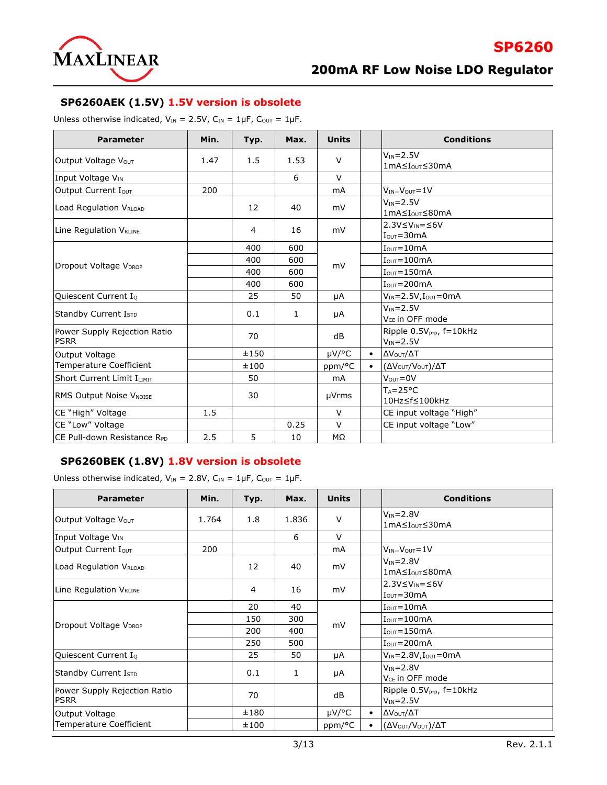

**SP6260**

#### **SP6260AEK (1.5V) 1.5V version is obsolete**

Unless otherwise indicated,  $V_{IN} = 2.5V$ ,  $C_{IN} = 1 \mu F$ ,  $C_{OUT} = 1 \mu F$ .

| <b>Parameter</b>                            | Min. | Typ. | Max. | <b>Units</b> |           | <b>Conditions</b>                                       |
|---------------------------------------------|------|------|------|--------------|-----------|---------------------------------------------------------|
| Output Voltage Vout                         | 1.47 | 1.5  | 1.53 | $\vee$       |           | $V_{IN} = 2.5V$<br>1mA≤I <sub>oυτ</sub> ≤30mA           |
| Input Voltage V <sub>IN</sub>               |      |      | 6    | $\vee$       |           |                                                         |
| Output Current Iout                         | 200  |      |      | mA           |           | $V_{IN} - V_{OUT} = 1V$                                 |
| Load Regulation VRLOAD                      |      | 12   | 40   | mV           |           | $V_{IN} = 2.5V$<br>1mA≤Iour≤80mA                        |
| Line Regulation VRLINE                      |      | 4    | 16   | mV           |           | $2.3V \leq V_{IN} = \leq 6V$<br>$IOUT=30mA$             |
|                                             |      | 400  | 600  |              |           | $IOUT=10mA$                                             |
|                                             |      | 400  | 600  |              |           | $IOUT=100mA$                                            |
| Dropout Voltage V <sub>DROP</sub>           |      | 400  | 600  | mV           |           | $IOUT=150mA$                                            |
|                                             |      | 400  | 600  |              |           | $IOUT=200mA$                                            |
| Quiescent Current IQ                        |      | 25   | 50   | μA           |           | $V_{IN} = 2.5V$ , $I_{OUT} = 0mA$                       |
| Standby Current I <sub>STD</sub>            |      | 0.1  | 1    | μA           |           | $V_{IN} = 2.5V$<br>V <sub>CF</sub> in OFF mode          |
| Power Supply Rejection Ratio<br><b>PSRR</b> |      | 70   |      | dB           |           | Ripple 0.5V <sub>p-p</sub> , f=10kHz<br>$V_{IN} = 2.5V$ |
| Output Voltage                              |      | ±150 |      | µV/°C        | $\bullet$ | ΔV <sub>Ουτ</sub> /ΔΤ                                   |
| Temperature Coefficient                     |      | ±100 |      | ppm/°C       | $\bullet$ | (ΔV <sub>OUT</sub> /V <sub>OUT</sub> )/ΔT               |
| <b>Short Current Limit ILIMIT</b>           |      | 50   |      | mA           |           | $V_{\text{OUT}} = 0V$                                   |
| RMS Output Noise VNOISE                     |      | 30   |      | µVrms        |           | $T_A = 25^{\circ}C$<br>10Hz≤f≤100kHz                    |
| CE "High" Voltage                           | 1.5  |      |      | $\vee$       |           | CE input voltage "High"                                 |
| CE "Low" Voltage                            |      |      | 0.25 | $\vee$       |           | CE input voltage "Low"                                  |
| ICE Pull-down Resistance R <sub>PD</sub>    | 2.5  | 5    | 10   | MΩ           |           |                                                         |

#### **SP6260BEK (1.8V) 1.8V version is obsolete**

Unless otherwise indicated,  $V_{IN} = 2.8V$ ,  $C_{IN} = 1 \mu F$ ,  $C_{OUT} = 1 \mu F$ .

| <b>Parameter</b>                            | Min.  | Typ. | Max.  | <b>Units</b> |           | <b>Conditions</b>                                 |
|---------------------------------------------|-------|------|-------|--------------|-----------|---------------------------------------------------|
| Output Voltage Vour                         | 1.764 | 1.8  | 1.836 | $\vee$       |           | $V_{IN} = 2.8V$<br>1mA≤I <sub>ουτ</sub> ≤30mA     |
| Input Voltage V <sub>IN</sub>               |       |      | 6     | $\vee$       |           |                                                   |
| Output Current Iout                         | 200   |      |       | mA           |           | $V_{IN} - V_{OUT} = 1V$                           |
| Load Regulation VRLOAD                      |       | 12   | 40    | mV           |           | $V_{IN} = 2.8V$<br>1mA≤Iour≤80mA                  |
| Line Regulation VRLINE                      |       | 4    | 16    | mV           |           | $2.3V≤VIN=≤6V$<br>$I_{\text{OUT}} = 30 \text{mA}$ |
|                                             |       | 20   | 40    |              |           | $I_{\text{OUT}} = 10 \text{mA}$                   |
|                                             |       | 150  | 300   |              |           | $I_{\text{OUT}} = 100 \text{mA}$                  |
| Dropout Voltage V <sub>DROP</sub>           |       | 200  | 400   | mV           |           | $I_{\text{OUT}} = 150 \text{mA}$                  |
|                                             |       | 250  | 500   |              |           | $I_{\text{OUT}} = 200 \text{mA}$                  |
| Quiescent Current IQ                        |       | 25   | 50    | μA           |           | $V_{IN} = 2.8V$ , $I_{OUT} = 0mA$                 |
| Standby Current IsTD                        |       | 0.1  | 1     | μA           |           | $V_{IN} = 2.8V$<br>V <sub>CE</sub> in OFF mode    |
| Power Supply Rejection Ratio<br><b>PSRR</b> |       | 70   |       | dB           |           | Ripple $0.5V_{p-p}$ , f=10kHz<br>$V_{IN} = 2.5V$  |
| Output Voltage                              |       | ±180 |       | $\mu$ V/°C   | $\bullet$ | ΔV <sub>Ουτ</sub> /ΔΤ                             |
| Temperature Coefficient                     |       | ±100 |       | ppm/°C       |           | (ΔV <sub>OUT</sub> /V <sub>OUT</sub> )/ΔT         |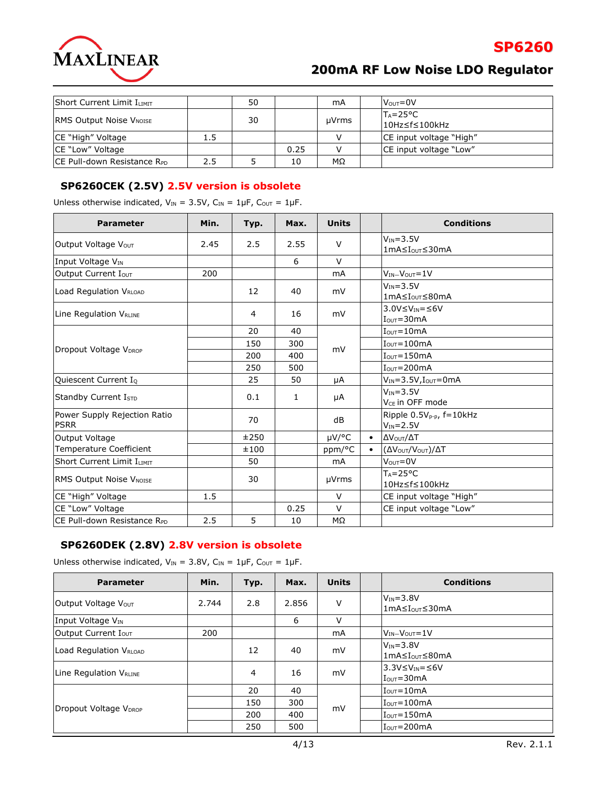

| Short Current Limit ILIMIT     |     | 50 |      | mA    | $V_{\text{OUT}} = 0V$                 |
|--------------------------------|-----|----|------|-------|---------------------------------------|
| <b>RMS Output Noise VNOISE</b> |     | 30 |      | µVrms | $T_A = 25^{\circ}C$<br>l10Hz≤f≤100kHz |
| CE "High" Voltage              | 1.5 |    |      |       | CE input voltage "High"               |
| <b>CE "Low" Voltage</b>        |     |    | 0.25 |       | CE input voltage "Low"                |
| ICE Pull-down Resistance RPD   | 2.5 |    | 10   | MΩ    |                                       |

### **SP6260CEK (2.5V) 2.5V version is obsolete**

| Unless otherwise indicated, $V_{IN} = 3.5V$ , $C_{IN} = 1\mu F$ , $C_{OUT} = 1\mu F$ . |  |  |  |  |
|----------------------------------------------------------------------------------------|--|--|--|--|
|----------------------------------------------------------------------------------------|--|--|--|--|

| <b>Parameter</b>                            | Min. | Typ. | Max. | <b>Units</b> |           | <b>Conditions</b>                                  |
|---------------------------------------------|------|------|------|--------------|-----------|----------------------------------------------------|
| Output Voltage Vout                         | 2.45 | 2.5  | 2.55 | V            |           | $V_{IN} = 3.5V$<br>1mA≤I <sub>ouτ</sub> ≤30mA      |
| Input Voltage VIN                           |      |      | 6    | $\vee$       |           |                                                    |
| Output Current Iout                         | 200  |      |      | <b>mA</b>    |           | $V_{IN} - V_{OUT} = 1V$                            |
| Load Regulation VRLOAD                      |      | 12   | 40   | mV           |           | $V_{IN} = 3.5V$<br>1mA≤I <sub>ouτ</sub> ≤80mA      |
| Line Regulation VRLINE                      |      | 4    | 16   | mV           |           | $3.0V \leq V_{IN} = \leq 6V$<br>$IOUT=30mA$        |
|                                             |      | 20   | 40   |              |           | $IQUT=10mA$                                        |
|                                             |      | 150  | 300  | mV           |           | $IOUT=100mA$                                       |
| Dropout Voltage V <sub>DROP</sub>           |      | 200  | 400  |              |           | $IOUT=150mA$                                       |
|                                             |      | 250  | 500  |              |           | $IOUT=200mA$                                       |
| Quiescent Current I <sub>Q</sub>            |      | 25   | 50   | μA           |           | $V_{IN} = 3.5V$ , $I_{OUT} = 0mA$                  |
| Standby Current IsTD                        |      | 0.1  | 1    | μA           |           | $V_{IN} = 3.5V$<br>V <sub>CF</sub> in OFF mode     |
| Power Supply Rejection Ratio<br><b>PSRR</b> |      | 70   |      | dB           |           | Ripple $0.5V_{p-p}$ , $f=10kHz$<br>$V_{IN} = 2.5V$ |
| Output Voltage                              |      | ±250 |      | µV/°C        | $\bullet$ | ΔV <sub>Ουτ</sub> /ΔΤ                              |
| <b>Temperature Coefficient</b>              |      | ±100 |      | ppm/°C       | $\bullet$ | (ΔV <sub>OUT</sub> /V <sub>OUT</sub> )/ΔT          |
| <b>Short Current Limit ILIMIT</b>           |      | 50   |      | mA           |           | $V_{\text{OUT}} = 0V$                              |
| <b>RMS Output Noise VNOISE</b>              |      | 30   |      | µVrms        |           | $T_A = 25^{\circ}C$<br>10Hz≤f≤100kHz               |
| CE "High" Voltage                           | 1.5  |      |      | $\vee$       |           | CE input voltage "High"                            |
| CE "Low" Voltage                            |      |      | 0.25 | $\vee$       |           | CE input voltage "Low"                             |
| CE Pull-down Resistance RPD                 | 2.5  | 5    | 10   | MΩ           |           |                                                    |

### **SP6260DEK (2.8V) 2.8V version is obsolete**

Unless otherwise indicated,  $V_{IN} = 3.8V$ ,  $C_{IN} = 1 \mu F$ ,  $C_{OUT} = 1 \mu F$ .

| <b>Parameter</b>                   | Min.  | Typ. | Max.  | <b>Units</b> | <b>Conditions</b>                                               |
|------------------------------------|-------|------|-------|--------------|-----------------------------------------------------------------|
| Output Voltage V <sub>OUT</sub>    | 2.744 | 2.8  | 2.856 | V            | $V_{IN} = 3.8V$<br>1mA≤I <sub>ouτ</sub> ≤30mA                   |
| Input Voltage V <sub>IN</sub>      |       |      | 6     | $\vee$       |                                                                 |
| Output Current Iout                | 200   |      |       | mA           | $V_{IN} - V_{OUT} = 1V$                                         |
| Load Regulation V <sub>RLOAD</sub> |       | 12   | 40    | mV           | $V_{IN} = 3.8V$<br>1mA≤IouT≤80mA                                |
| Line Regulation V <sub>RLINE</sub> |       | 4    | 16    | mV           | $3.3V \leq V_{IN} = \leq 6V$<br>$I_{\text{OUT}} = 30 \text{mA}$ |
|                                    |       | 20   | 40    |              | $I_{\text{OUT}} = 10 \text{mA}$                                 |
|                                    |       | 150  | 300   |              | $I_{\text{OUT}} = 100 \text{mA}$                                |
| Dropout Voltage V <sub>DROP</sub>  |       | 200  | 400   | mV           | $I_{\text{OUT}} = 150 \text{mA}$                                |
|                                    |       | 250  | 500   |              | $I_{\text{OUT}} = 200 \text{mA}$                                |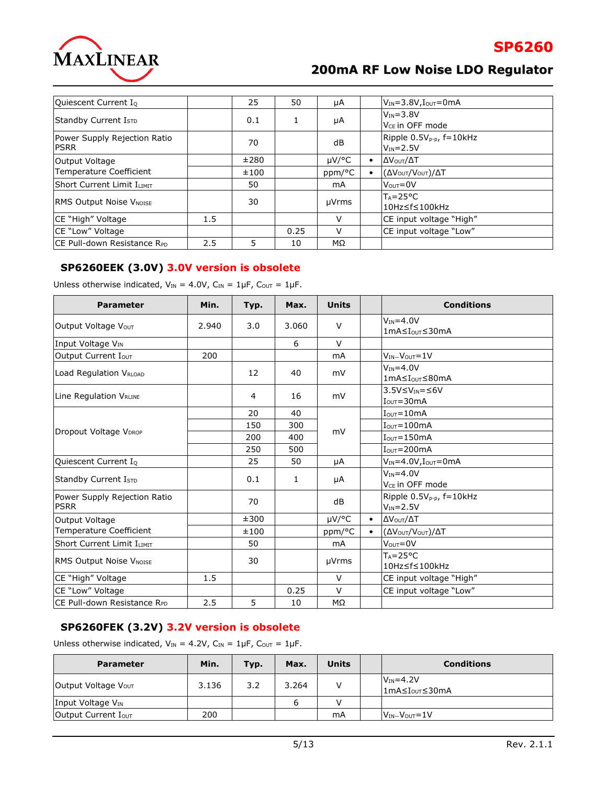

**SP6260**

| Quiescent Current I <sub>Q</sub>            |     | 25   | 50   | μA     |           | $V_{IN} = 3.8V, I_{OUT} = 0mA$                   |
|---------------------------------------------|-----|------|------|--------|-----------|--------------------------------------------------|
| Standby Current Istp                        |     | 0.1  | 1    | μA     |           | $V_{IN} = 3.8V$<br>V <sub>CF</sub> in OFF mode   |
| Power Supply Rejection Ratio<br><b>PSRR</b> |     | 70   |      | dB     |           | Ripple $0.5V_{p-p}$ , f=10kHz<br>$V_{IN} = 2.5V$ |
| Output Voltage                              |     | ±280 |      | µV/°C  | $\bullet$ | ΔV <sub>Ουτ</sub> /ΔΤ                            |
| Temperature Coefficient                     |     | ±100 |      | ppm/°C |           | (ΔV <sub>OUT</sub> /V <sub>OUT</sub> )/ΔT        |
| Short Current Limit ILIMIT                  |     | 50   |      | mA     |           | $V_{\text{OUT}} = 0V$                            |
| <b>RMS Output Noise VNOISE</b>              |     | 30   |      | µVrms  |           | $T_A = 25^{\circ}C$<br>I10Hz≤f≤100kHz            |
| <b>CE "High" Voltage</b>                    | 1.5 |      |      | $\vee$ |           | CE input voltage "High"                          |
| <b>CE "Low" Voltage</b>                     |     |      | 0.25 | $\vee$ |           | CE input voltage "Low"                           |
| ICE Pull-down Resistance RPD                | 2.5 | 5    | 10   | MΩ     |           |                                                  |

### **SP6260EEK (3.0V) 3.0V version is obsolete**

Unless otherwise indicated,  $V_{IN} = 4.0V$ ,  $C_{IN} = 1 \mu F$ ,  $C_{OUT} = 1 \mu F$ .

| <b>Parameter</b>                            | Min.  | Typ. | Max.         | <b>Units</b>   |           | <b>Conditions</b>                                  |
|---------------------------------------------|-------|------|--------------|----------------|-----------|----------------------------------------------------|
| Output Voltage Vout                         | 2.940 | 3.0  | 3.060        | $\vee$         |           | $V_{IN} = 4.0V$<br>1mA≤IouT≤30mA                   |
| Input Voltage VIN                           |       |      | 6            | $\vee$         |           |                                                    |
| Output Current Iout                         | 200   |      |              | mA             |           | $V_{IN} - V_{OUT} = 1V$                            |
| Load Regulation VRLOAD                      |       | 12   | 40           | mV             |           | $V_{IN} = 4.0V$<br>1mA≤Iour≤80mA                   |
| Line Regulation VRLINE                      |       | 4    | 16           | mV             |           | $3.5V \leq V_{IN} = \leq 6V$<br>$IOUT=30mA$        |
|                                             |       | 20   | 40           |                |           | $IOUT=10mA$                                        |
|                                             |       | 150  | 300          |                |           | $IOUT=100mA$                                       |
| Dropout Voltage V <sub>DROP</sub>           |       | 200  | 400          | mV             |           | $IOUT=150mA$                                       |
|                                             |       | 250  | 500          |                |           | $IOUT=200mA$                                       |
| Quiescent Current I <sub>Q</sub>            |       | 25   | 50           | μA             |           | $V_{IN} = 4.0 V, I_{OUT} = 0 mA$                   |
| Standby Current I <sub>STD</sub>            |       | 0.1  | $\mathbf{1}$ | μA             |           | $V_{IN} = 4.0V$<br>V <sub>CF</sub> in OFF mode     |
| Power Supply Rejection Ratio<br><b>PSRR</b> |       | 70   |              | dB             |           | Ripple $0.5V_{p-p}$ , $f=10kHz$<br>$V_{IN} = 2.5V$ |
| Output Voltage                              |       | ±300 |              | µV/°C          | $\bullet$ | ΔV <sub>Ουτ</sub> /ΔΤ                              |
| <b>Temperature Coefficient</b>              |       | ±100 |              | ppm/°C         | $\bullet$ | (ΔVουτ/Vουτ)/ΔΤ                                    |
| <b>Short Current Limit ILIMIT</b>           |       | 50   |              | m <sub>A</sub> |           | $V_{\text{OUT}} = 0V$                              |
| RMS Output Noise VNOISE                     |       | 30   |              | µVrms          |           | $Ta = 25^{\circ}C$<br>10Hz≤f≤100kHz                |
| CE "High" Voltage                           | 1.5   |      |              | $\vee$         |           | CE input voltage "High"                            |
| CE "Low" Voltage                            |       |      | 0.25         | $\vee$         |           | CE input voltage "Low"                             |
| ICE Pull-down Resistance Rpp                | 2.5   | 5    | 10           | MΩ             |           |                                                    |

### **SP6260FEK (3.2V) 3.2V version is obsolete**

Unless otherwise indicated,  $V_{IN} = 4.2V$ ,  $C_{IN} = 1 \mu F$ ,  $C_{OUT} = 1 \mu F$ .

| <b>Parameter</b>              | Min.  | Typ. | Max.  | <b>Units</b> | <b>Conditions</b>                             |
|-------------------------------|-------|------|-------|--------------|-----------------------------------------------|
| Output Voltage Vour           | 3.136 | 3.2  | 3.264 |              | $V_{IN} = 4.2V$<br>1mA≤I <sub>ouT</sub> ≤30mA |
| Input Voltage V <sub>IN</sub> |       |      | 6     |              |                                               |
| Output Current Iout           | 200   |      |       | mA           | $V_{IN} - V_{OUT} = 1V$                       |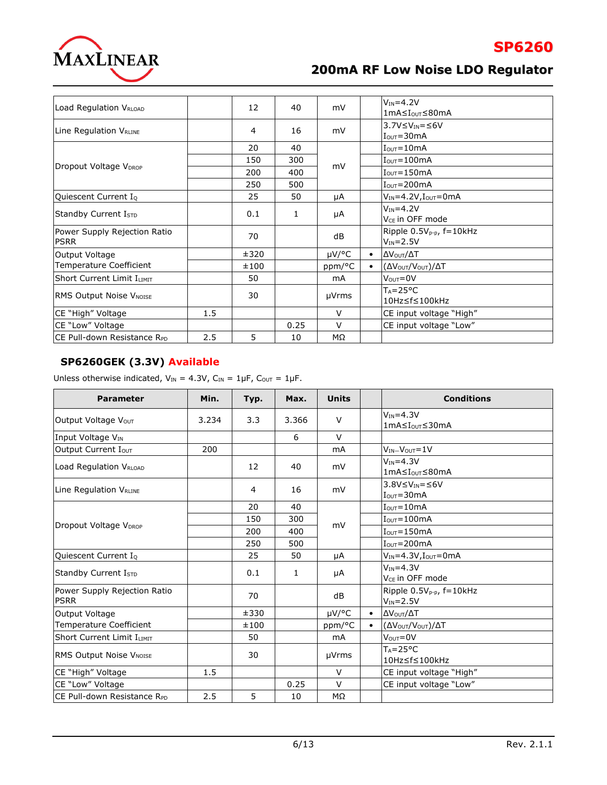

**SP6260**

| Load Regulation V <sub>RLOAD</sub>          |     | 12   | 40   | mV           |           | $V_{IN} = 4.2V$<br>1mA≤I <sub>ουτ</sub> ≤80mA                   |  |
|---------------------------------------------|-----|------|------|--------------|-----------|-----------------------------------------------------------------|--|
| Line Regulation V <sub>RLINE</sub>          |     | 4    | 16   | mV           |           | $3.7V \leq V_{IN} = \leq 6V$<br>$I_{\text{OUT}} = 30 \text{mA}$ |  |
|                                             |     | 20   | 40   | mV           |           | $IOUT=10mA$                                                     |  |
| Dropout Voltage V <sub>DROP</sub>           |     | 150  | 300  |              |           | $IOUT=100mA$                                                    |  |
|                                             |     | 200  | 400  |              |           | $IOUT=150mA$                                                    |  |
|                                             |     | 250  | 500  |              |           | $IOUT=200mA$                                                    |  |
| Quiescent Current I <sub>Q</sub>            |     | 25   | 50   | μA           |           | $V_{IN} = 4.2V, I_{OUT} = 0mA$                                  |  |
| Standby Current IsTD                        |     | 0.1  | 1    | μA           |           | $V_{IN} = 4.2V$<br>V <sub>CE</sub> in OFF mode                  |  |
| Power Supply Rejection Ratio<br><b>PSRR</b> |     | 70   |      | dB           |           | Ripple $0.5V_{p-p}$ , f=10kHz<br>$V_{IN} = 2.5V$                |  |
| Output Voltage                              |     | ±320 |      | $\mu$ V/°C   | $\bullet$ | ΔV <sub>Ουτ</sub> /ΔΤ                                           |  |
| Temperature Coefficient                     |     | ±100 |      | ppm/°C       | $\bullet$ | (ΔV <sub>OUT</sub> /V <sub>OUT</sub> )/ΔT                       |  |
| <b>Short Current Limit ILIMIT</b>           |     | 50   |      | mA           |           | $V_{\text{OUT}} = 0V$                                           |  |
| <b>RMS Output Noise VNOISE</b>              |     | 30   |      | µVrms        |           | $T_A = 25^{\circ}C$<br>10Hz≤f≤100kHz                            |  |
| CE "High" Voltage                           | 1.5 |      |      | $\vee$       |           | CE input voltage "High"                                         |  |
| CE "Low" Voltage                            |     |      | 0.25 | $\mathsf{V}$ |           | CE input voltage "Low"                                          |  |
| CE Pull-down Resistance RPD                 | 2.5 | 5.   | 10   | MΩ           |           |                                                                 |  |

### **SP6260GEK (3.3V) Available**

Unless otherwise indicated,  $V_{IN} = 4.3V$ ,  $C_{IN} = 1 \mu F$ ,  $C_{OUT} = 1 \mu F$ .

| <b>Parameter</b>                            | Min.  | Typ. | Max.         | <b>Units</b> |           | <b>Conditions</b>                                       |  |
|---------------------------------------------|-------|------|--------------|--------------|-----------|---------------------------------------------------------|--|
| Output Voltage Vout                         | 3.234 | 3.3  | 3.366        | $\vee$       |           | $V_{IN} = 4.3V$<br>1mA≤Iour≤30mA                        |  |
| Input Voltage VIN                           |       |      | 6            | $\vee$       |           |                                                         |  |
| Output Current Iout                         | 200   |      |              | <b>mA</b>    |           | $V_{IN} - V_{OUT} = 1V$                                 |  |
| Load Regulation VRLOAD                      |       | 12   | 40           | mV           |           | $V_{IN} = 4.3V$<br>1mA≤I <sub>ouτ</sub> ≤80mA           |  |
| Line Regulation VRLINE                      |       | 4    | 16           | mV           |           | $3.8V \leq V_{IN} = \leq 6V$<br>$IOUT=30mA$             |  |
|                                             |       | 20   | 40           |              |           | $I_{\text{OUT}} = 10 \text{mA}$                         |  |
| Dropout Voltage V <sub>DROP</sub>           |       | 150  | 300          |              |           | $IQUT=100mA$<br>$I_{\text{OUT}} = 150 \text{mA}$        |  |
|                                             |       | 200  | 400          | mV           |           |                                                         |  |
|                                             |       | 250  | 500          |              |           | $IOUT=200mA$                                            |  |
| Quiescent Current IQ                        |       | 25   | 50           | μA           |           | $V_{IN} = 4.3V$ , $I_{OUT} = 0mA$                       |  |
| Standby Current I <sub>STD</sub>            |       | 0.1  | $\mathbf{1}$ | μA           |           | $V_{IN} = 4.3V$<br>V <sub>CF</sub> in OFF mode          |  |
| Power Supply Rejection Ratio<br><b>PSRR</b> |       | 70   |              | dB           |           | Ripple 0.5V <sub>p-p</sub> , f=10kHz<br>$V_{IN} = 2.5V$ |  |
| Output Voltage                              |       | ±330 |              | µV/°C        | $\bullet$ | ΔV <sub>Ουτ</sub> /ΔΤ                                   |  |
| Temperature Coefficient                     |       | ±100 |              | ppm/°C       | $\bullet$ | (ΔV <sub>OUT</sub> /V <sub>OUT</sub> )/ΔT               |  |
| Short Current Limit ILIMIT                  |       | 50   |              | mA           |           | $VOUT=0V$                                               |  |
| <b>RMS Output Noise VNOISE</b>              |       | 30   |              | µVrms        |           | $T_A = 25^{\circ}C$<br>10Hz≤f≤100kHz                    |  |
| CE "High" Voltage                           | 1.5   |      |              | $\vee$       |           | CE input voltage "High"                                 |  |
| CE "Low" Voltage                            |       |      | 0.25         | $\vee$       |           | CE input voltage "Low"                                  |  |
| CE Pull-down Resistance RPD                 | 2.5   | 5    | 10           | MΩ           |           |                                                         |  |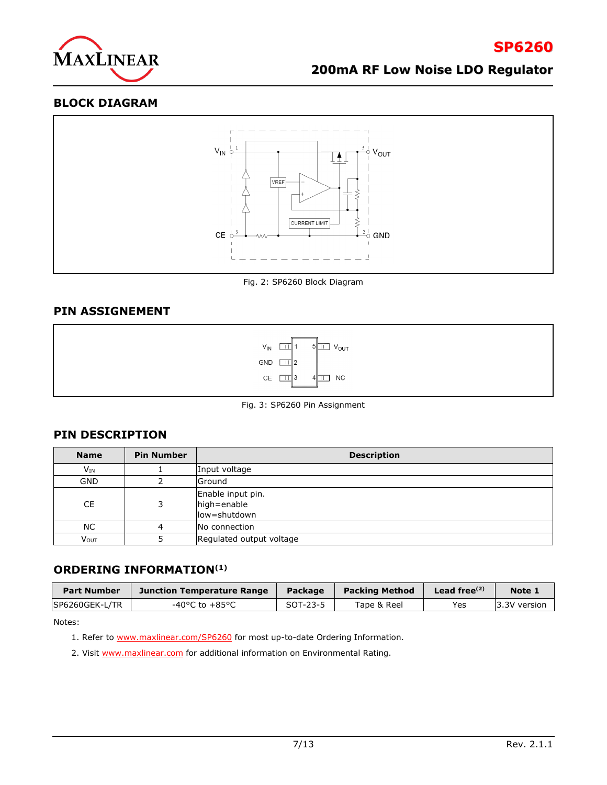

#### **BLOCK DIAGRAM**



Fig. 2: SP6260 Block Diagram

### **PIN ASSIGNEMENT**



Fig. 3: SP6260 Pin Assignment

#### **PIN DESCRIPTION**

| <b>Name</b> | <b>Pin Number</b> | <b>Description</b>                               |
|-------------|-------------------|--------------------------------------------------|
| $V_{IN}$    |                   | Input voltage                                    |
| <b>GND</b>  |                   | Ground                                           |
| <b>CE</b>   | 3                 | Enable input pin.<br>high=enable<br>low=shutdown |
| <b>NC</b>   | 4                 | No connection                                    |
| <b>VOUT</b> |                   | Regulated output voltage                         |

#### **ORDERING INFORMATION(1)**

| <b>Part Number</b> | Junction Temperature Range | Package  | <b>Packing Method</b> | Lead free $(2)$ | Note 1        |
|--------------------|----------------------------|----------|-----------------------|-----------------|---------------|
| SP6260GEK-L/TR     | -40°C to +85°C             | SOT-23-5 | Tape & Reel           | Yes             | 13.3V version |

Notes:

- 1. Refer to **www.maxlinear.com/SP6260** for most up-to-date Ordering Information.
- 2. Visit [www.maxlinear.com](http://www.maxlinear.com/) for additional information on Environmental Rating.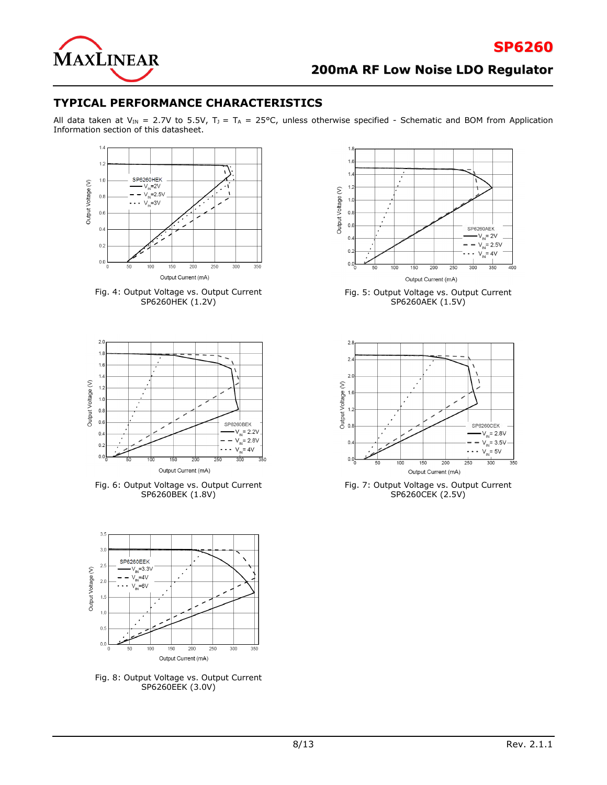

### **TYPICAL PERFORMANCE CHARACTERISTICS**

All data taken at V<sub>IN</sub> = 2.7V to 5.5V, T<sub>J</sub> = T<sub>A</sub> = 25°C, unless otherwise specified - Schematic and BOM from Application Information section of this datasheet.







Fig. 6: Output Voltage vs. Output Current SP6260BEK (1.8V)



Fig. 8: Output Voltage vs. Output Current SP6260EEK (3.0V)



Fig. 5: Output Voltage vs. Output Current SP6260AEK (1.5V)



Fig. 7: Output Voltage vs. Output Current SP6260CEK (2.5V)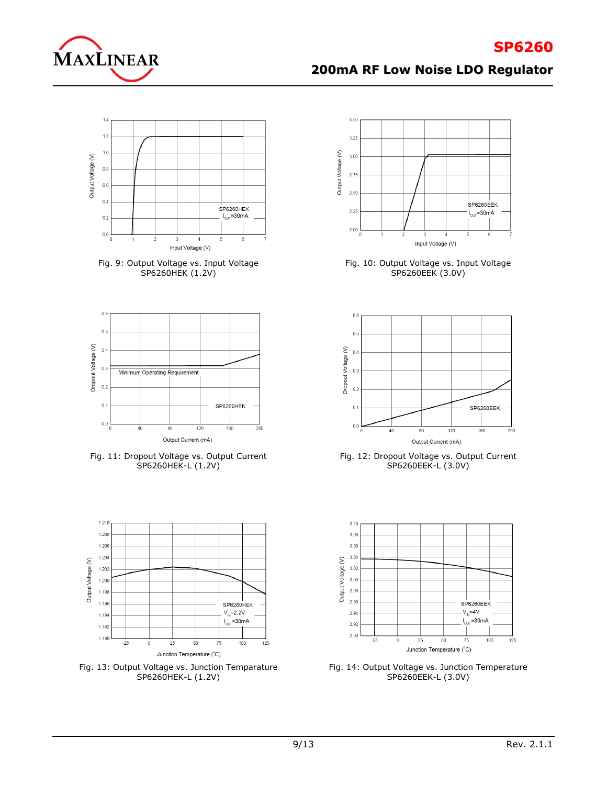



Fig. 9: Output Voltage vs. Input Voltage SP6260HEK (1.2V)



Fig. 11: Dropout Voltage vs. Output Current SP6260HEK-L (1.2V)



Fig. 13: Output Voltage vs. Junction Temparature SP6260HEK-L (1.2V)



Fig. 10: Output Voltage vs. Input Voltage SP6260EEK (3.0V)



Fig. 12: Dropout Voltage vs. Output Current SP6260EEK-L (3.0V)



Fig. 14: Output Voltage vs. Junction Temperature SP6260EEK-L (3.0V)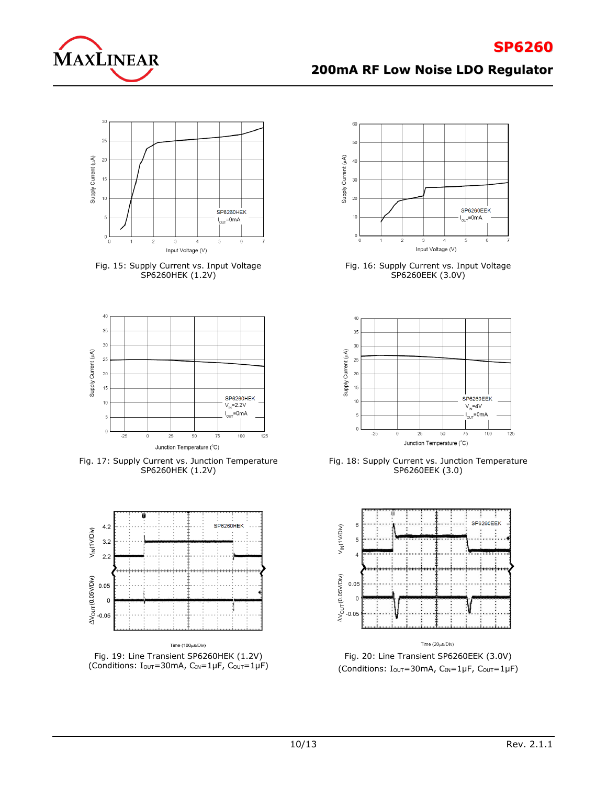



Fig. 15: Supply Current vs. Input Voltage SP6260HEK (1.2V)



Fig. 17: Supply Current vs. Junction Temperature SP6260HEK (1.2V)



Fig. 19: Line Transient SP6260HEK (1.2V) (Conditions:  $I_{\text{OUT}}=30$ mA,  $C_{\text{IN}}=1 \mu F$ ,  $C_{\text{OUT}}=1 \mu F$ )



Fig. 16: Supply Current vs. Input Voltage SP6260EEK (3.0V)



Fig. 18: Supply Current vs. Junction Temperature SP6260EEK (3.0)



Fig. 20: Line Transient SP6260EEK (3.0V) (Conditions: I<sub>OUT</sub>=30mA, CIN=1µF, C<sub>OUT</sub>=1µF)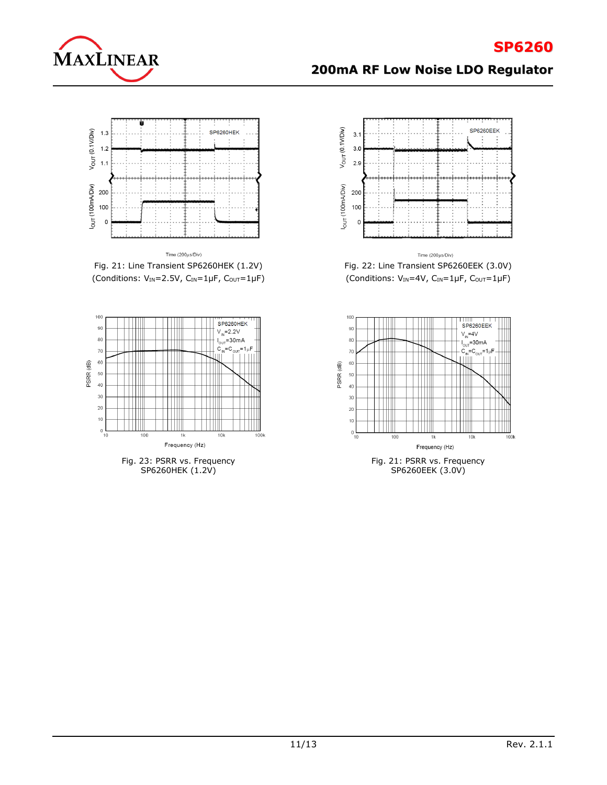

# **SP6260**

# **200mA RF Low Noise LDO Regulator**



Fig. 21: Line Transient SP6260HEK (1.2V) (Conditions:  $V_{IN} = 2.5V$ ,  $C_{IN} = 1 \mu F$ ,  $C_{OUT} = 1 \mu F$ )



SP6260HEK (1.2V)



Fig. 22: Line Transient SP6260EEK (3.0V) (Conditions:  $V_{IN} = 4V$ ,  $C_{IN} = 1 \mu F$ ,  $C_{OUT} = 1 \mu F$ )

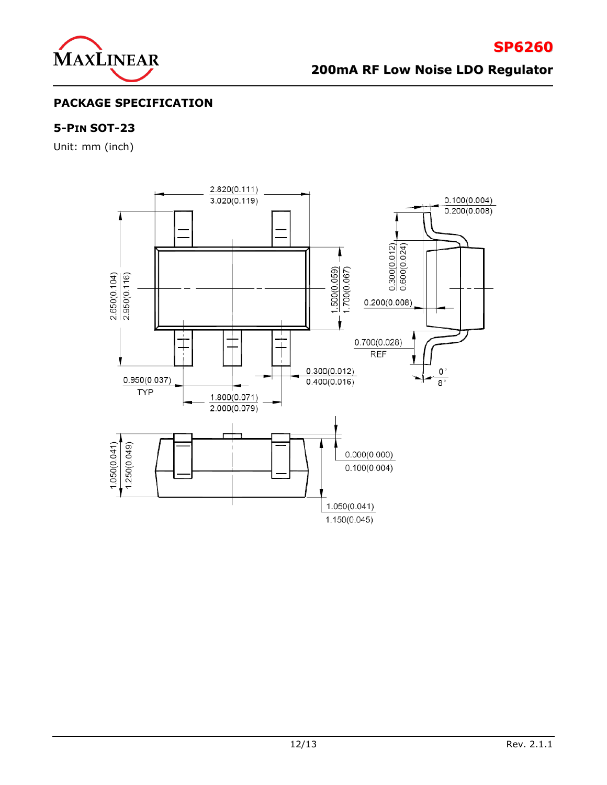

**SP6260**

## **PACKAGE SPECIFICATION**

### **5-PIN SOT-23**

Unit: mm (inch)